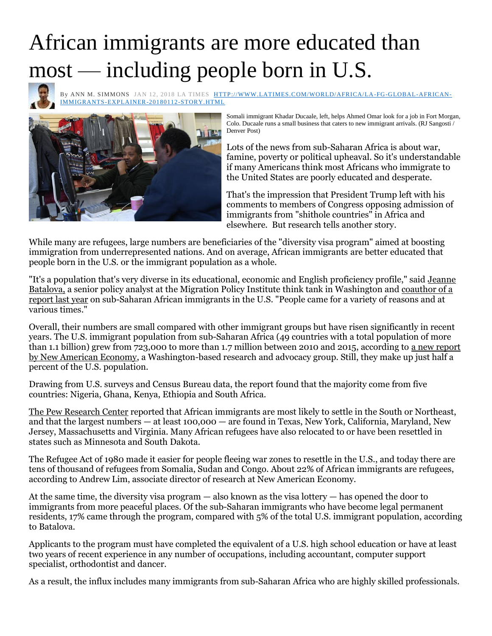## African immigrants are more educated than most — including people born in U.S.



By [ANN M. SIMMONS](http://www.latimes.com/la-bio-ann-simmons-staff.html#nt=byline) JAN 12, 2018 LA TIMES [HTTP://WWW.LATIMES.COM/WORLD/AFRICA/LA-FG-GLOBAL-AFRICAN-](http://www.latimes.com/world/africa/la-fg-global-african-immigrants-explainer-20180112-story.html)[IMMIGRANTS-EXPLAINER-20180112-STORY.HTML](http://www.latimes.com/world/africa/la-fg-global-african-immigrants-explainer-20180112-story.html)



Somali immigrant Khadar Ducaale, left, helps Ahmed Omar look for a job in Fort Morgan, Colo. Ducaale runs a small business that caters to new immigrant arrivals. (RJ Sangosti / Denver Post)

Lots of the news from sub-Saharan Africa is about war, famine, poverty or political upheaval. So it's understandable if many Americans think most Africans who immigrate to the United States are poorly educated and desperate.

That's the impression that President Trump left with his comments to members of Congress opposing admission of immigrants from "shithole countries" in Africa and elsewhere. But research tells another story.

While many are refugees, large numbers are beneficiaries of the "diversity visa program" aimed at boosting immigration from underrepresented nations. And on average, African immigrants are better educated that people born in the U.S. or the immigrant population as a whole.

"It's a population that's very diverse in its educational, economic and English proficiency profile," said [Jeanne](https://www.migrationpolicy.org/about/staff/jeanne-batalova)  [Batalova,](https://www.migrationpolicy.org/about/staff/jeanne-batalova) a senior policy analyst at the Migration Policy Institute think tank in Washington and [coauthor of a](https://www.migrationpolicy.org/article/sub-saharan-african-immigrants-united-states#English_Proficiency)  [report last year](https://www.migrationpolicy.org/article/sub-saharan-african-immigrants-united-states#English_Proficiency) on sub-Saharan African immigrants in the U.S. "People came for a variety of reasons and at various times."

Overall, their numbers are small compared with other immigrant groups but have risen significantly in recent years. The U.S. immigrant population from sub-Saharan Africa (49 countries with a total population of more than 1.1 billion) grew from 723,000 to more than 1.7 million between 2010 and 2015, according to [a new report](http://research.newamericaneconomy.org/wp-content/uploads/sites/2/2018/01/NAE_African_V6.pdf)  [by New American Economy,](http://research.newamericaneconomy.org/wp-content/uploads/sites/2/2018/01/NAE_African_V6.pdf) a Washington-based research and advocacy group. Still, they make up just half a percent of the U.S. population.

Drawing from U.S. surveys and Census Bureau data, the report found that the majority come from five countries: Nigeria, Ghana, Kenya, Ethiopia and South Africa.

[The Pew Research Center](http://www.pewresearch.org/fact-tank/2017/02/14/african-immigrant-population-in-u-s-steadily-climbs/) reported that African immigrants are most likely to settle in the South or Northeast, and that the largest numbers — at least 100,000 — are found in Texas, New York, California, Maryland, New Jersey, Massachusetts and Virginia. Many African refugees have also relocated to or have been resettled in states such as Minnesota and South Dakota.

The Refugee Act of 1980 made it easier for people fleeing war zones to resettle in the U.S., and today there are tens of thousand of refugees from Somalia, Sudan and Congo. About 22% of African immigrants are refugees, according to Andrew Lim, associate director of research at New American Economy.

At the same time, the diversity visa program — also known as the visa lottery — has opened the door to immigrants from more peaceful places. Of the sub-Saharan immigrants who have become legal permanent residents, 17% came through the program, compared with 5% of the total U.S. immigrant population, according to Batalova.

Applicants to the program must have completed the equivalent of a U.S. high school education or have at least two years of recent experience in any number of occupations, including accountant, computer support specialist, orthodontist and dancer.

As a result, the influx includes many immigrants from sub-Saharan Africa who are highly skilled professionals.